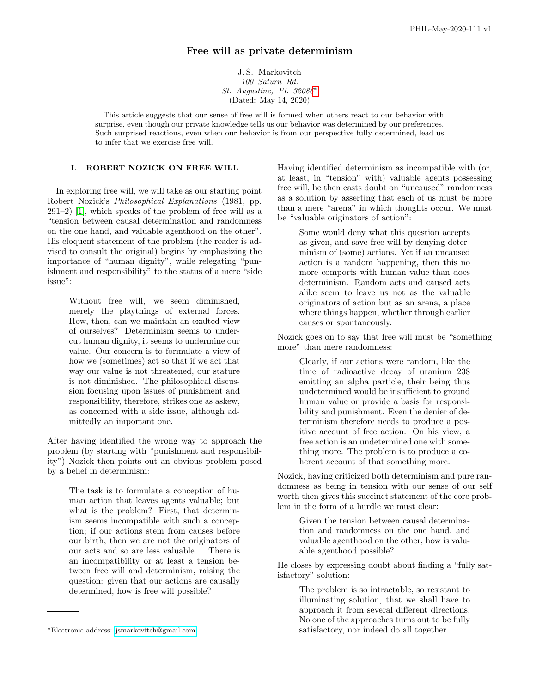# Free will as private determinism

J. S. Markovitch 100 Saturn Rd. St. Augustine, FL 32086[∗](#page-0-0) (Dated: May 14, 2020)

This article suggests that our sense of free will is formed when others react to our behavior with surprise, even though our private knowledge tells us our behavior was determined by our preferences. Such surprised reactions, even when our behavior is from our perspective fully determined, lead us to infer that we exercise free will.

### I. ROBERT NOZICK ON FREE WILL

In exploring free will, we will take as our starting point Robert Nozick's Philosophical Explanations (1981, pp. 291–2) [\[1\]](#page-3-0), which speaks of the problem of free will as a "tension between causal determination and randomness on the one hand, and valuable agenthood on the other". His eloquent statement of the problem (the reader is advised to consult the original) begins by emphasizing the importance of "human dignity", while relegating "punishment and responsibility" to the status of a mere "side issue":

Without free will, we seem diminished, merely the playthings of external forces. How, then, can we maintain an exalted view of ourselves? Determinism seems to undercut human dignity, it seems to undermine our value. Our concern is to formulate a view of how we (sometimes) act so that if we act that way our value is not threatened, our stature is not diminished. The philosophical discussion focusing upon issues of punishment and responsibility, therefore, strikes one as askew, as concerned with a side issue, although admittedly an important one.

After having identified the wrong way to approach the problem (by starting with "punishment and responsibility") Nozick then points out an obvious problem posed by a belief in determinism:

The task is to formulate a conception of human action that leaves agents valuable; but what is the problem? First, that determinism seems incompatible with such a conception; if our actions stem from causes before our birth, then we are not the originators of our acts and so are less valuable.. . . There is an incompatibility or at least a tension between free will and determinism, raising the question: given that our actions are causally determined, how is free will possible?

Having identified determinism as incompatible with (or, at least, in "tension" with) valuable agents possessing free will, he then casts doubt on "uncaused" randomness as a solution by asserting that each of us must be more than a mere "arena" in which thoughts occur. We must be "valuable originators of action":

> Some would deny what this question accepts as given, and save free will by denying determinism of (some) actions. Yet if an uncaused action is a random happening, then this no more comports with human value than does determinism. Random acts and caused acts alike seem to leave us not as the valuable originators of action but as an arena, a place where things happen, whether through earlier causes or spontaneously.

Nozick goes on to say that free will must be "something more" than mere randomness:

Clearly, if our actions were random, like the time of radioactive decay of uranium 238 emitting an alpha particle, their being thus undetermined would be insufficient to ground human value or provide a basis for responsibility and punishment. Even the denier of determinism therefore needs to produce a positive account of free action. On his view, a free action is an undetermined one with something more. The problem is to produce a coherent account of that something more.

Nozick, having criticized both determinism and pure randomness as being in tension with our sense of our self worth then gives this succinct statement of the core problem in the form of a hurdle we must clear:

> Given the tension between causal determination and randomness on the one hand, and valuable agenthood on the other, how is valuable agenthood possible?

He closes by expressing doubt about finding a "fully satisfactory" solution:

> The problem is so intractable, so resistant to illuminating solution, that we shall have to approach it from several different directions. No one of the approaches turns out to be fully satisfactory, nor indeed do all together.

<span id="page-0-0"></span><sup>∗</sup>Electronic address: [jsmarkovitch@gmail.com](mailto:jsmarkovitch@gmail.com)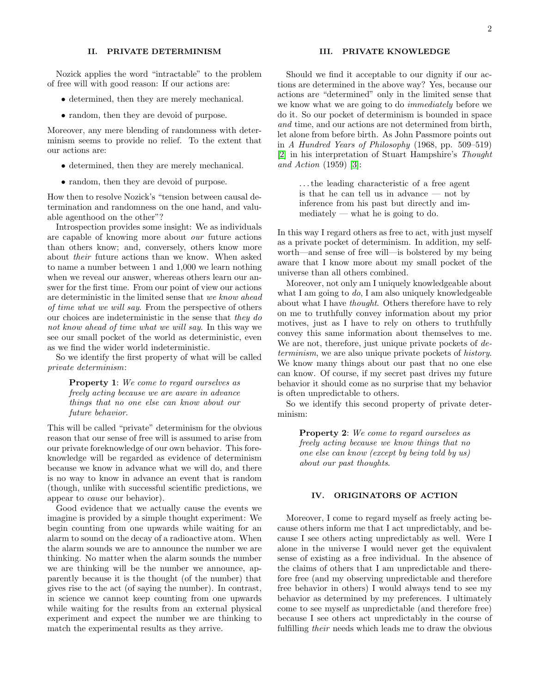#### II. PRIVATE DETERMINISM

Nozick applies the word "intractable" to the problem of free will with good reason: If our actions are:

- determined, then they are merely mechanical.
- random, then they are devoid of purpose.

Moreover, any mere blending of randomness with determinism seems to provide no relief. To the extent that our actions are:

- determined, then they are merely mechanical.
- random, then they are devoid of purpose.

How then to resolve Nozick's "tension between causal determination and randomness on the one hand, and valuable agenthood on the other"?

Introspection provides some insight: We as individuals are capable of knowing more about our future actions than others know; and, conversely, others know more about their future actions than we know. When asked to name a number between 1 and 1,000 we learn nothing when we reveal our answer, whereas others learn our answer for the first time. From our point of view our actions are deterministic in the limited sense that we know ahead of time what we will say. From the perspective of others our choices are indeterministic in the sense that they do not know ahead of time what we will say. In this way we see our small pocket of the world as deterministic, even as we find the wider world indeterministic.

So we identify the first property of what will be called private determinism:

> Property 1: We come to regard ourselves as freely acting because we are aware in advance things that no one else can know about our future behavior.

This will be called "private" determinism for the obvious reason that our sense of free will is assumed to arise from our private foreknowledge of our own behavior. This foreknowledge will be regarded as evidence of determinism because we know in advance what we will do, and there is no way to know in advance an event that is random (though, unlike with successful scientific predictions, we appear to cause our behavior).

Good evidence that we actually cause the events we imagine is provided by a simple thought experiment: We begin counting from one upwards while waiting for an alarm to sound on the decay of a radioactive atom. When the alarm sounds we are to announce the number we are thinking. No matter when the alarm sounds the number we are thinking will be the number we announce, apparently because it is the thought (of the number) that gives rise to the act (of saying the number). In contrast, in science we cannot keep counting from one upwards while waiting for the results from an external physical experiment and expect the number we are thinking to match the experimental results as they arrive.

#### III. PRIVATE KNOWLEDGE

Should we find it acceptable to our dignity if our actions are determined in the above way? Yes, because our actions are "determined" only in the limited sense that we know what we are going to do immediately before we do it. So our pocket of determinism is bounded in space and time, and our actions are not determined from birth, let alone from before birth. As John Passmore points out in A Hundred Years of Philosophy (1968, pp. 509–519) [\[2\]](#page-3-1) in his interpretation of Stuart Hampshire's Thought and Action (1959) [\[3\]](#page-3-2):

> . . . the leading characteristic of a free agent is that he can tell us in advance — not by inference from his past but directly and im $mediately$  — what he is going to do.

In this way I regard others as free to act, with just myself as a private pocket of determinism. In addition, my selfworth—and sense of free will—is bolstered by my being aware that I know more about my small pocket of the universe than all others combined.

Moreover, not only am I uniquely knowledgeable about what I am going to  $do$ , I am also uniquely knowledgeable about what I have thought. Others therefore have to rely on me to truthfully convey information about my prior motives, just as I have to rely on others to truthfully convey this same information about themselves to me. We are not, therefore, just unique private pockets of determinism, we are also unique private pockets of history. We know many things about our past that no one else can know. Of course, if my secret past drives my future behavior it should come as no surprise that my behavior is often unpredictable to others.

So we identify this second property of private determinism:

> Property 2: We come to regard ourselves as freely acting because we know things that no one else can know (except by being told by us) about our past thoughts.

### IV. ORIGINATORS OF ACTION

Moreover, I come to regard myself as freely acting because others inform me that I act unpredictably, and because I see others acting unpredictably as well. Were I alone in the universe I would never get the equivalent sense of existing as a free individual. In the absence of the claims of others that I am unpredictable and therefore free (and my observing unpredictable and therefore free behavior in others) I would always tend to see my behavior as determined by my preferences. I ultimately come to see myself as unpredictable (and therefore free) because I see others act unpredictably in the course of fulfilling their needs which leads me to draw the obvious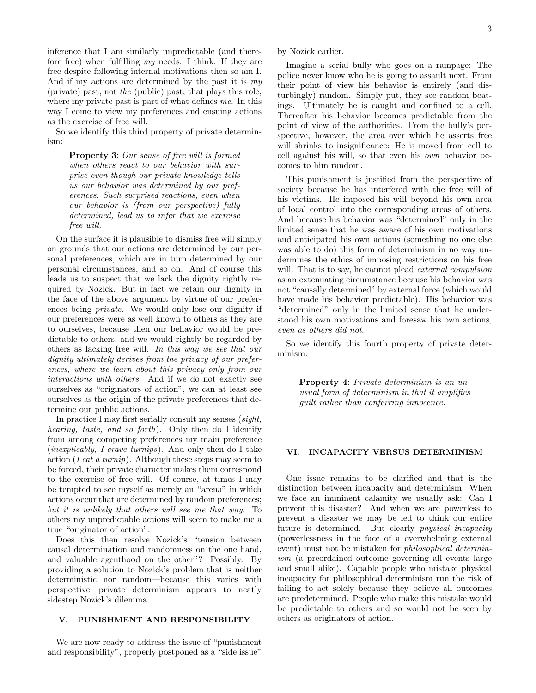inference that I am similarly unpredictable (and therefore free) when fulfilling my needs. I think: If they are free despite following internal motivations then so am I. And if my actions are determined by the past it is my (private) past, not the (public) past, that plays this role, where my private past is part of what defines me. In this way I come to view my preferences and ensuing actions as the exercise of free will.

So we identify this third property of private determinism:

> Property 3: Our sense of free will is formed when others react to our behavior with surprise even though our private knowledge tells us our behavior was determined by our preferences. Such surprised reactions, even when our behavior is (from our perspective) fully determined, lead us to infer that we exercise free will.

On the surface it is plausible to dismiss free will simply on grounds that our actions are determined by our personal preferences, which are in turn determined by our personal circumstances, and so on. And of course this leads us to suspect that we lack the dignity rightly required by Nozick. But in fact we retain our dignity in the face of the above argument by virtue of our preferences being private. We would only lose our dignity if our preferences were as well known to others as they are to ourselves, because then our behavior would be predictable to others, and we would rightly be regarded by others as lacking free will. In this way we see that our dignity ultimately derives from the privacy of our preferences, where we learn about this privacy only from our interactions with others. And if we do not exactly see ourselves as "originators of action", we can at least see ourselves as the origin of the private preferences that determine our public actions.

In practice I may first serially consult my senses (sight, hearing, taste, and so forth). Only then do I identify from among competing preferences my main preference *(inexplicably, I crave turnips)*. And only then do I take action (*I eat a turnip*). Although these steps may seem to be forced, their private character makes them correspond to the exercise of free will. Of course, at times I may be tempted to see myself as merely an "arena" in which actions occur that are determined by random preferences; but it is unlikely that others will see me that way. To others my unpredictable actions will seem to make me a true "originator of action".

Does this then resolve Nozick's "tension between causal determination and randomness on the one hand, and valuable agenthood on the other"? Possibly. By providing a solution to Nozick's problem that is neither deterministic nor random—because this varies with perspective—private determinism appears to neatly sidestep Nozick's dilemma.

## V. PUNISHMENT AND RESPONSIBILITY

We are now ready to address the issue of "punishment and responsibility", properly postponed as a "side issue"

by Nozick earlier.

Imagine a serial bully who goes on a rampage: The police never know who he is going to assault next. From their point of view his behavior is entirely (and disturbingly) random. Simply put, they see random beatings. Ultimately he is caught and confined to a cell. Thereafter his behavior becomes predictable from the point of view of the authorities. From the bully's perspective, however, the area over which he asserts free will shrinks to insignificance: He is moved from cell to cell against his will, so that even his own behavior becomes to him random.

This punishment is justified from the perspective of society because he has interfered with the free will of his victims. He imposed his will beyond his own area of local control into the corresponding areas of others. And because his behavior was "determined" only in the limited sense that he was aware of his own motivations and anticipated his own actions (something no one else was able to do) this form of determinism in no way undermines the ethics of imposing restrictions on his free will. That is to say, he cannot plead *external compulsion* as an extenuating circumstance because his behavior was not "causally determined" by external force (which would have made his behavior predictable). His behavior was "determined" only in the limited sense that he understood his own motivations and foresaw his own actions, even as others did not.

So we identify this fourth property of private determinism:

> Property 4: Private determinism is an unusual form of determinism in that it amplifies guilt rather than conferring innocence.

#### VI. INCAPACITY VERSUS DETERMINISM

One issue remains to be clarified and that is the distinction between incapacity and determinism. When we face an imminent calamity we usually ask: Can I prevent this disaster? And when we are powerless to prevent a disaster we may be led to think our entire future is determined. But clearly physical incapacity (powerlessness in the face of a overwhelming external event) must not be mistaken for philosophical determinism (a preordained outcome governing all events large and small alike). Capable people who mistake physical incapacity for philosophical determinism run the risk of failing to act solely because they believe all outcomes are predetermined. People who make this mistake would be predictable to others and so would not be seen by others as originators of action.